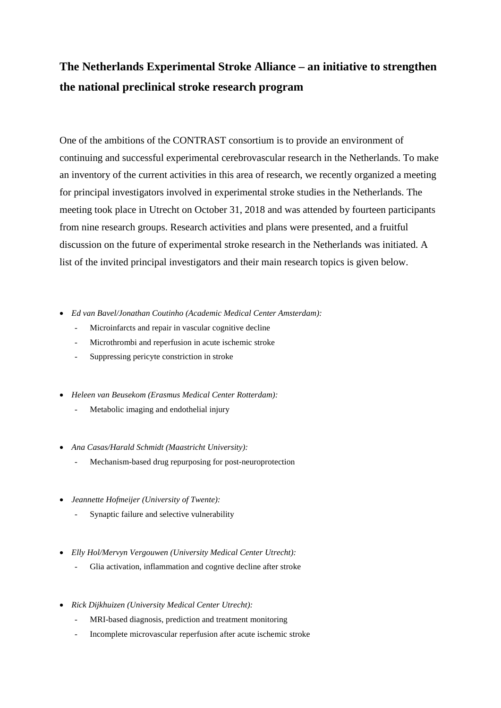## **The Netherlands Experimental Stroke Alliance – an initiative to strengthen the national preclinical stroke research program**

One of the ambitions of the CONTRAST consortium is to provide an environment of continuing and successful experimental cerebrovascular research in the Netherlands. To make an inventory of the current activities in this area of research, we recently organized a meeting for principal investigators involved in experimental stroke studies in the Netherlands. The meeting took place in Utrecht on October 31, 2018 and was attended by fourteen participants from nine research groups. Research activities and plans were presented, and a fruitful discussion on the future of experimental stroke research in the Netherlands was initiated. A list of the invited principal investigators and their main research topics is given below.

- *Ed van Bavel/Jonathan Coutinho (Academic Medical Center Amsterdam):*
	- Microinfarcts and repair in vascular cognitive decline
	- Microthrombi and reperfusion in acute ischemic stroke
	- Suppressing pericyte constriction in stroke
- *Heleen van Beusekom (Erasmus Medical Center Rotterdam):*
	- Metabolic imaging and endothelial injury
- *Ana Casas/Harald Schmidt (Maastricht University):*
	- Mechanism-based drug repurposing for post-neuroprotection
- *Jeannette Hofmeijer (University of Twente):*
	- Synaptic failure and selective vulnerability
- *Elly Hol/Mervyn Vergouwen (University Medical Center Utrecht):*
	- Glia activation, inflammation and cogntive decline after stroke
- *Rick Dijkhuizen (University Medical Center Utrecht):*
	- MRI-based diagnosis, prediction and treatment monitoring
	- Incomplete microvascular reperfusion after acute ischemic stroke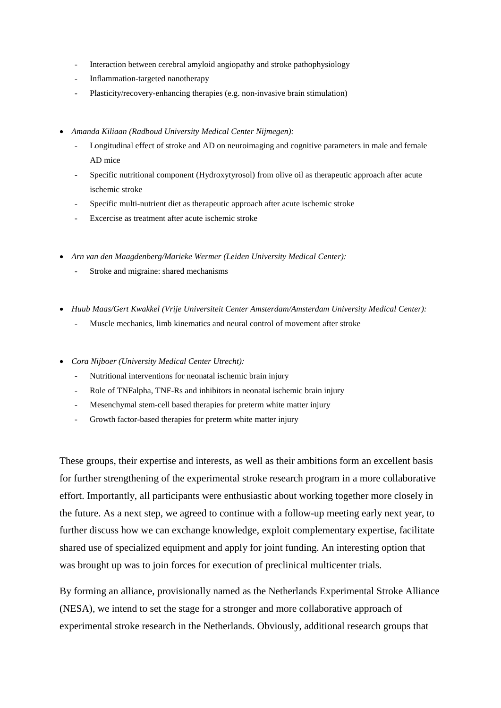- Interaction between cerebral amyloid angiopathy and stroke pathophysiology
- Inflammation-targeted nanotherapy
- Plasticity/recovery-enhancing therapies (e.g. non-invasive brain stimulation)
- *Amanda Kiliaan (Radboud University Medical Center Nijmegen):*
	- Longitudinal effect of stroke and AD on neuroimaging and cognitive parameters in male and female AD mice
	- Specific nutritional component (Hydroxytyrosol) from olive oil as therapeutic approach after acute ischemic stroke
	- Specific multi-nutrient diet as therapeutic approach after acute ischemic stroke
	- Excercise as treatment after acute ischemic stroke
- *Arn van den Maagdenberg/Marieke Wermer (Leiden University Medical Center):*
	- Stroke and migraine: shared mechanisms
- *Huub Maas/Gert Kwakkel (Vrije Universiteit Center Amsterdam/Amsterdam University Medical Center):*
	- Muscle mechanics, limb kinematics and neural control of movement after stroke
- *Cora Nijboer (University Medical Center Utrecht):*
	- Nutritional interventions for neonatal ischemic brain injury
	- Role of TNFalpha, TNF-Rs and inhibitors in neonatal ischemic brain injury
	- Mesenchymal stem-cell based therapies for preterm white matter injury
	- Growth factor-based therapies for preterm white matter injury

These groups, their expertise and interests, as well as their ambitions form an excellent basis for further strengthening of the experimental stroke research program in a more collaborative effort. Importantly, all participants were enthusiastic about working together more closely in the future. As a next step, we agreed to continue with a follow-up meeting early next year, to further discuss how we can exchange knowledge, exploit complementary expertise, facilitate shared use of specialized equipment and apply for joint funding. An interesting option that was brought up was to join forces for execution of preclinical multicenter trials.

By forming an alliance, provisionally named as the Netherlands Experimental Stroke Alliance (NESA), we intend to set the stage for a stronger and more collaborative approach of experimental stroke research in the Netherlands. Obviously, additional research groups that